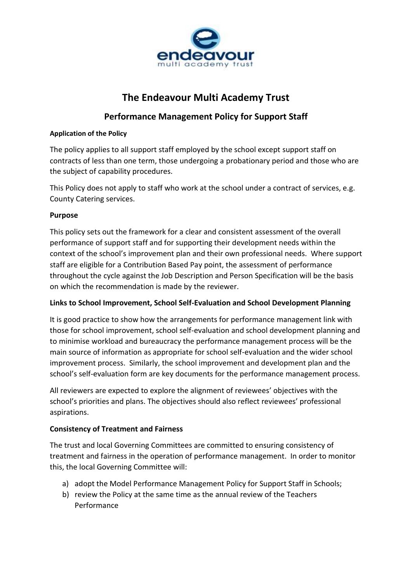

# **The Endeavour Multi Academy Trust**

# **Performance Management Policy for Support Staff**

## **Application of the Policy**

The policy applies to all support staff employed by the school except support staff on contracts of less than one term, those undergoing a probationary period and those who are the subject of capability procedures.

This Policy does not apply to staff who work at the school under a contract of services, e.g. County Catering services.

# **Purpose**

This policy sets out the framework for a clear and consistent assessment of the overall performance of support staff and for supporting their development needs within the context of the school's improvement plan and their own professional needs. Where support staff are eligible for a Contribution Based Pay point, the assessment of performance throughout the cycle against the Job Description and Person Specification will be the basis on which the recommendation is made by the reviewer.

# **Links to School Improvement, School Self-Evaluation and School Development Planning**

It is good practice to show how the arrangements for performance management link with those for school improvement, school self-evaluation and school development planning and to minimise workload and bureaucracy the performance management process will be the main source of information as appropriate for school self-evaluation and the wider school improvement process. Similarly, the school improvement and development plan and the school's self-evaluation form are key documents for the performance management process.

All reviewers are expected to explore the alignment of reviewees' objectives with the school's priorities and plans. The objectives should also reflect reviewees' professional aspirations.

# **Consistency of Treatment and Fairness**

The trust and local Governing Committees are committed to ensuring consistency of treatment and fairness in the operation of performance management. In order to monitor this, the local Governing Committee will:

- a) adopt the Model Performance Management Policy for Support Staff in Schools;
- b) review the Policy at the same time as the annual review of the Teachers Performance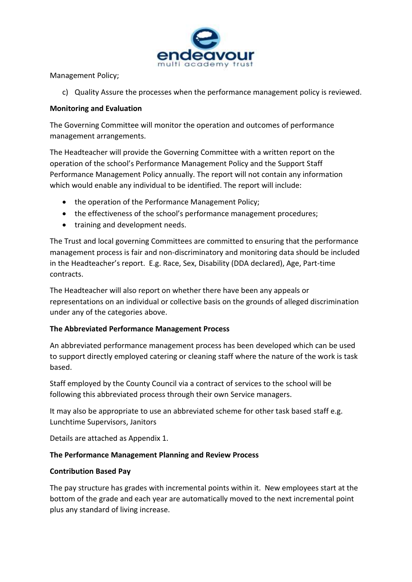

Management Policy;

c) Quality Assure the processes when the performance management policy is reviewed.

## **Monitoring and Evaluation**

The Governing Committee will monitor the operation and outcomes of performance management arrangements.

The Headteacher will provide the Governing Committee with a written report on the operation of the school's Performance Management Policy and the Support Staff Performance Management Policy annually. The report will not contain any information which would enable any individual to be identified. The report will include:

- the operation of the Performance Management Policy;
- the effectiveness of the school's performance management procedures;
- training and development needs.

The Trust and local governing Committees are committed to ensuring that the performance management process is fair and non-discriminatory and monitoring data should be included in the Headteacher's report. E.g. Race, Sex, Disability (DDA declared), Age, Part-time contracts.

The Headteacher will also report on whether there have been any appeals or representations on an individual or collective basis on the grounds of alleged discrimination under any of the categories above.

# **The Abbreviated Performance Management Process**

An abbreviated performance management process has been developed which can be used to support directly employed catering or cleaning staff where the nature of the work is task based.

Staff employed by the County Council via a contract of services to the school will be following this abbreviated process through their own Service managers.

It may also be appropriate to use an abbreviated scheme for other task based staff e.g. Lunchtime Supervisors, Janitors

Details are attached as Appendix 1.

# **The Performance Management Planning and Review Process**

# **Contribution Based Pay**

The pay structure has grades with incremental points within it. New employees start at the bottom of the grade and each year are automatically moved to the next incremental point plus any standard of living increase.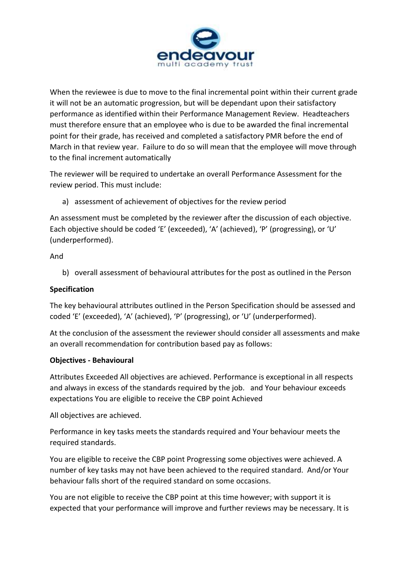

When the reviewee is due to move to the final incremental point within their current grade it will not be an automatic progression, but will be dependant upon their satisfactory performance as identified within their Performance Management Review. Headteachers must therefore ensure that an employee who is due to be awarded the final incremental point for their grade, has received and completed a satisfactory PMR before the end of March in that review year. Failure to do so will mean that the employee will move through to the final increment automatically

The reviewer will be required to undertake an overall Performance Assessment for the review period. This must include:

a) assessment of achievement of objectives for the review period

An assessment must be completed by the reviewer after the discussion of each objective. Each objective should be coded 'E' (exceeded), 'A' (achieved), 'P' (progressing), or 'U' (underperformed).

# And

b) overall assessment of behavioural attributes for the post as outlined in the Person

# **Specification**

The key behavioural attributes outlined in the Person Specification should be assessed and coded 'E' (exceeded), 'A' (achieved), 'P' (progressing), or 'U' (underperformed).

At the conclusion of the assessment the reviewer should consider all assessments and make an overall recommendation for contribution based pay as follows:

# **Objectives - Behavioural**

Attributes Exceeded All objectives are achieved. Performance is exceptional in all respects and always in excess of the standards required by the job. and Your behaviour exceeds expectations You are eligible to receive the CBP point Achieved

All objectives are achieved.

Performance in key tasks meets the standards required and Your behaviour meets the required standards.

You are eligible to receive the CBP point Progressing some objectives were achieved. A number of key tasks may not have been achieved to the required standard. And/or Your behaviour falls short of the required standard on some occasions.

You are not eligible to receive the CBP point at this time however; with support it is expected that your performance will improve and further reviews may be necessary. It is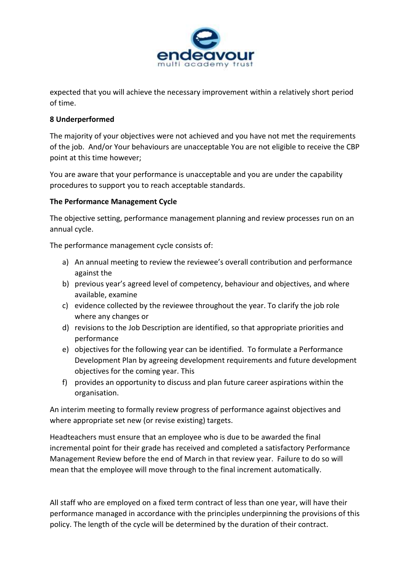

expected that you will achieve the necessary improvement within a relatively short period of time.

# **8 Underperformed**

The majority of your objectives were not achieved and you have not met the requirements of the job. And/or Your behaviours are unacceptable You are not eligible to receive the CBP point at this time however;

You are aware that your performance is unacceptable and you are under the capability procedures to support you to reach acceptable standards.

### **The Performance Management Cycle**

The objective setting, performance management planning and review processes run on an annual cycle.

The performance management cycle consists of:

- a) An annual meeting to review the reviewee's overall contribution and performance against the
- b) previous year's agreed level of competency, behaviour and objectives, and where available, examine
- c) evidence collected by the reviewee throughout the year. To clarify the job role where any changes or
- d) revisions to the Job Description are identified, so that appropriate priorities and performance
- e) objectives for the following year can be identified. To formulate a Performance Development Plan by agreeing development requirements and future development objectives for the coming year. This
- f) provides an opportunity to discuss and plan future career aspirations within the organisation.

An interim meeting to formally review progress of performance against objectives and where appropriate set new (or revise existing) targets.

Headteachers must ensure that an employee who is due to be awarded the final incremental point for their grade has received and completed a satisfactory Performance Management Review before the end of March in that review year. Failure to do so will mean that the employee will move through to the final increment automatically.

All staff who are employed on a fixed term contract of less than one year, will have their performance managed in accordance with the principles underpinning the provisions of this policy. The length of the cycle will be determined by the duration of their contract.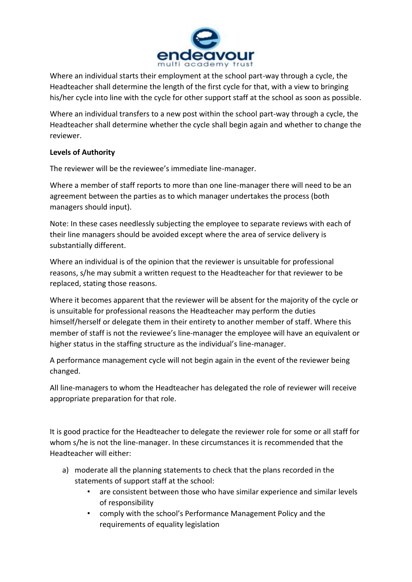

Where an individual starts their employment at the school part-way through a cycle, the Headteacher shall determine the length of the first cycle for that, with a view to bringing his/her cycle into line with the cycle for other support staff at the school as soon as possible.

Where an individual transfers to a new post within the school part-way through a cycle, the Headteacher shall determine whether the cycle shall begin again and whether to change the reviewer.

# **Levels of Authority**

The reviewer will be the reviewee's immediate line-manager.

Where a member of staff reports to more than one line-manager there will need to be an agreement between the parties as to which manager undertakes the process (both managers should input).

Note: In these cases needlessly subjecting the employee to separate reviews with each of their line managers should be avoided except where the area of service delivery is substantially different.

Where an individual is of the opinion that the reviewer is unsuitable for professional reasons, s/he may submit a written request to the Headteacher for that reviewer to be replaced, stating those reasons.

Where it becomes apparent that the reviewer will be absent for the majority of the cycle or is unsuitable for professional reasons the Headteacher may perform the duties himself/herself or delegate them in their entirety to another member of staff. Where this member of staff is not the reviewee's line-manager the employee will have an equivalent or higher status in the staffing structure as the individual's line-manager.

A performance management cycle will not begin again in the event of the reviewer being changed.

All line-managers to whom the Headteacher has delegated the role of reviewer will receive appropriate preparation for that role.

It is good practice for the Headteacher to delegate the reviewer role for some or all staff for whom s/he is not the line-manager. In these circumstances it is recommended that the Headteacher will either:

- a) moderate all the planning statements to check that the plans recorded in the statements of support staff at the school:
	- are consistent between those who have similar experience and similar levels of responsibility
	- comply with the school's Performance Management Policy and the requirements of equality legislation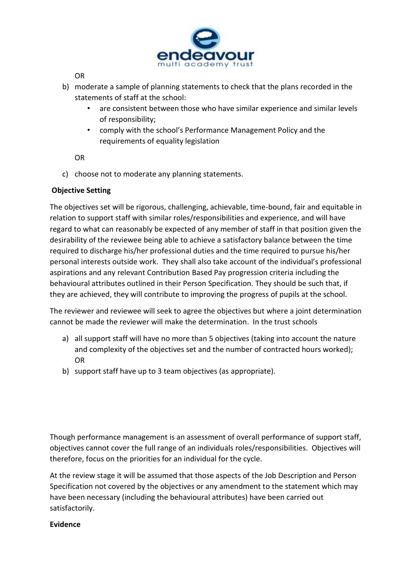

OR

- b) moderate a sample of planning statements to check that the plans recorded in the statements of staff at the school:
	- are consistent between those who have similar experience and similar levels of responsibility;
	- comply with the school's Performance Management Policy and the requirements of equality legislation

OR

c) choose not to moderate any planning statements.

### **Objective Setting**

The objectives set will be rigorous, challenging, achievable, time-bound, fair and equitable in relation to support staff with similar roles/responsibilities and experience, and will have regard to what can reasonably be expected of any member of staff in that position given the desirability of the reviewee being able to achieve a satisfactory balance between the time required to discharge his/her professional duties and the time required to pursue his/her personal interests outside work. They shall also take account of the individual's professional aspirations and any relevant Contribution Based Pay progression criteria including the behavioural attributes outlined in their Person Specification. They should be such that, if they are achieved, they will contribute to improving the progress of pupils at the school.

The reviewer and reviewee will seek to agree the objectives but where a joint determination cannot be made the reviewer will make the determination. In the trust schools

- a) all support staff will have no more than 5 objectives (taking into account the nature and complexity of the objectives set and the number of contracted hours worked); OR
- b) support staff have up to 3 team objectives (as appropriate).

Though performance management is an assessment of overall performance of support staff, objectives cannot cover the full range of an individuals roles/responsibilities. Objectives will therefore, focus on the priorities for an individual for the cycle.

At the review stage it will be assumed that those aspects of the Job Description and Person Specification not covered by the objectives or any amendment to the statement which may have been necessary (including the behavioural attributes) have been carried out satisfactorily.

#### **Evidence**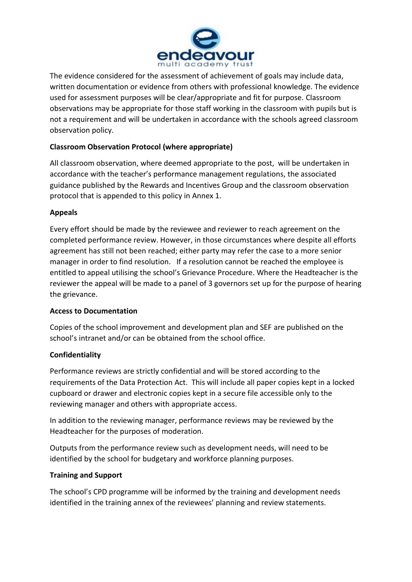

The evidence considered for the assessment of achievement of goals may include data, written documentation or evidence from others with professional knowledge. The evidence used for assessment purposes will be clear/appropriate and fit for purpose. Classroom observations may be appropriate for those staff working in the classroom with pupils but is not a requirement and will be undertaken in accordance with the schools agreed classroom observation policy.

# **Classroom Observation Protocol (where appropriate)**

All classroom observation, where deemed appropriate to the post, will be undertaken in accordance with the teacher's performance management regulations, the associated guidance published by the Rewards and Incentives Group and the classroom observation protocol that is appended to this policy in Annex 1.

# **Appeals**

Every effort should be made by the reviewee and reviewer to reach agreement on the completed performance review. However, in those circumstances where despite all efforts agreement has still not been reached; either party may refer the case to a more senior manager in order to find resolution. If a resolution cannot be reached the employee is entitled to appeal utilising the school's Grievance Procedure. Where the Headteacher is the reviewer the appeal will be made to a panel of 3 governors set up for the purpose of hearing the grievance.

# **Access to Documentation**

Copies of the school improvement and development plan and SEF are published on the school's intranet and/or can be obtained from the school office.

# **Confidentiality**

Performance reviews are strictly confidential and will be stored according to the requirements of the Data Protection Act. This will include all paper copies kept in a locked cupboard or drawer and electronic copies kept in a secure file accessible only to the reviewing manager and others with appropriate access.

In addition to the reviewing manager, performance reviews may be reviewed by the Headteacher for the purposes of moderation.

Outputs from the performance review such as development needs, will need to be identified by the school for budgetary and workforce planning purposes.

# **Training and Support**

The school's CPD programme will be informed by the training and development needs identified in the training annex of the reviewees' planning and review statements.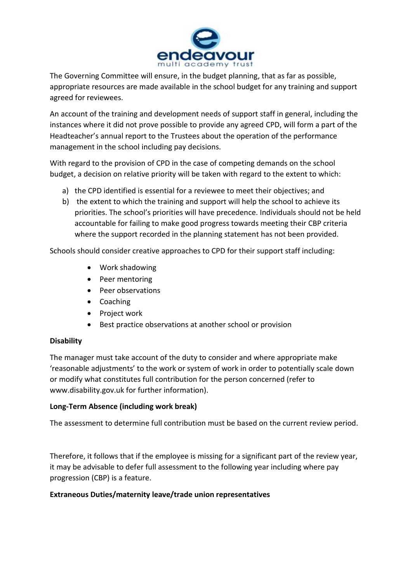

The Governing Committee will ensure, in the budget planning, that as far as possible, appropriate resources are made available in the school budget for any training and support agreed for reviewees.

An account of the training and development needs of support staff in general, including the instances where it did not prove possible to provide any agreed CPD, will form a part of the Headteacher's annual report to the Trustees about the operation of the performance management in the school including pay decisions.

With regard to the provision of CPD in the case of competing demands on the school budget, a decision on relative priority will be taken with regard to the extent to which:

- a) the CPD identified is essential for a reviewee to meet their objectives; and
- b) the extent to which the training and support will help the school to achieve its priorities. The school's priorities will have precedence. Individuals should not be held accountable for failing to make good progress towards meeting their CBP criteria where the support recorded in the planning statement has not been provided.

Schools should consider creative approaches to CPD for their support staff including:

- Work shadowing
- Peer mentoring
- Peer observations
- Coaching
- Project work
- Best practice observations at another school or provision

# **Disability**

The manager must take account of the duty to consider and where appropriate make 'reasonable adjustments' to the work or system of work in order to potentially scale down or modify what constitutes full contribution for the person concerned (refer to www.disability.gov.uk for further information).

# **Long-Term Absence (including work break)**

The assessment to determine full contribution must be based on the current review period.

Therefore, it follows that if the employee is missing for a significant part of the review year, it may be advisable to defer full assessment to the following year including where pay progression (CBP) is a feature.

# **Extraneous Duties/maternity leave/trade union representatives**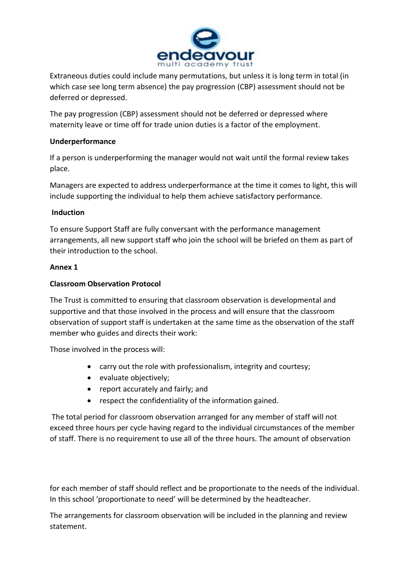

Extraneous duties could include many permutations, but unless it is long term in total (in which case see long term absence) the pay progression (CBP) assessment should not be deferred or depressed.

The pay progression (CBP) assessment should not be deferred or depressed where maternity leave or time off for trade union duties is a factor of the employment.

# **Underperformance**

If a person is underperforming the manager would not wait until the formal review takes place.

Managers are expected to address underperformance at the time it comes to light, this will include supporting the individual to help them achieve satisfactory performance.

### **Induction**

To ensure Support Staff are fully conversant with the performance management arrangements, all new support staff who join the school will be briefed on them as part of their introduction to the school.

### **Annex 1**

# **Classroom Observation Protocol**

The Trust is committed to ensuring that classroom observation is developmental and supportive and that those involved in the process and will ensure that the classroom observation of support staff is undertaken at the same time as the observation of the staff member who guides and directs their work:

Those involved in the process will:

- carry out the role with professionalism, integrity and courtesy;
- evaluate objectively;
- report accurately and fairly; and
- respect the confidentiality of the information gained.

The total period for classroom observation arranged for any member of staff will not exceed three hours per cycle having regard to the individual circumstances of the member of staff. There is no requirement to use all of the three hours. The amount of observation

for each member of staff should reflect and be proportionate to the needs of the individual. In this school 'proportionate to need' will be determined by the headteacher.

The arrangements for classroom observation will be included in the planning and review statement.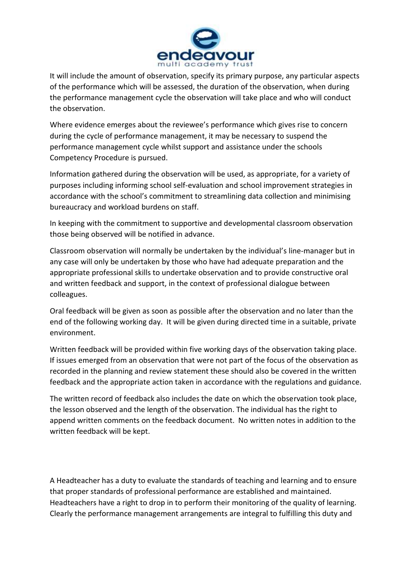

It will include the amount of observation, specify its primary purpose, any particular aspects of the performance which will be assessed, the duration of the observation, when during the performance management cycle the observation will take place and who will conduct the observation.

Where evidence emerges about the reviewee's performance which gives rise to concern during the cycle of performance management, it may be necessary to suspend the performance management cycle whilst support and assistance under the schools Competency Procedure is pursued.

Information gathered during the observation will be used, as appropriate, for a variety of purposes including informing school self-evaluation and school improvement strategies in accordance with the school's commitment to streamlining data collection and minimising bureaucracy and workload burdens on staff.

In keeping with the commitment to supportive and developmental classroom observation those being observed will be notified in advance.

Classroom observation will normally be undertaken by the individual's line-manager but in any case will only be undertaken by those who have had adequate preparation and the appropriate professional skills to undertake observation and to provide constructive oral and written feedback and support, in the context of professional dialogue between colleagues.

Oral feedback will be given as soon as possible after the observation and no later than the end of the following working day. It will be given during directed time in a suitable, private environment.

Written feedback will be provided within five working days of the observation taking place. If issues emerged from an observation that were not part of the focus of the observation as recorded in the planning and review statement these should also be covered in the written feedback and the appropriate action taken in accordance with the regulations and guidance.

The written record of feedback also includes the date on which the observation took place, the lesson observed and the length of the observation. The individual has the right to append written comments on the feedback document. No written notes in addition to the written feedback will be kept.

A Headteacher has a duty to evaluate the standards of teaching and learning and to ensure that proper standards of professional performance are established and maintained. Headteachers have a right to drop in to perform their monitoring of the quality of learning. Clearly the performance management arrangements are integral to fulfilling this duty and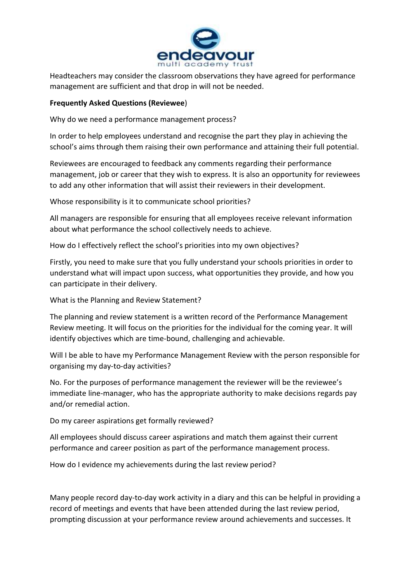

Headteachers may consider the classroom observations they have agreed for performance management are sufficient and that drop in will not be needed.

### **Frequently Asked Questions (Reviewee**)

Why do we need a performance management process?

In order to help employees understand and recognise the part they play in achieving the school's aims through them raising their own performance and attaining their full potential.

Reviewees are encouraged to feedback any comments regarding their performance management, job or career that they wish to express. It is also an opportunity for reviewees to add any other information that will assist their reviewers in their development.

Whose responsibility is it to communicate school priorities?

All managers are responsible for ensuring that all employees receive relevant information about what performance the school collectively needs to achieve.

How do I effectively reflect the school's priorities into my own objectives?

Firstly, you need to make sure that you fully understand your schools priorities in order to understand what will impact upon success, what opportunities they provide, and how you can participate in their delivery.

What is the Planning and Review Statement?

The planning and review statement is a written record of the Performance Management Review meeting. It will focus on the priorities for the individual for the coming year. It will identify objectives which are time-bound, challenging and achievable.

Will I be able to have my Performance Management Review with the person responsible for organising my day-to-day activities?

No. For the purposes of performance management the reviewer will be the reviewee's immediate line-manager, who has the appropriate authority to make decisions regards pay and/or remedial action.

Do my career aspirations get formally reviewed?

All employees should discuss career aspirations and match them against their current performance and career position as part of the performance management process.

How do I evidence my achievements during the last review period?

Many people record day-to-day work activity in a diary and this can be helpful in providing a record of meetings and events that have been attended during the last review period, prompting discussion at your performance review around achievements and successes. It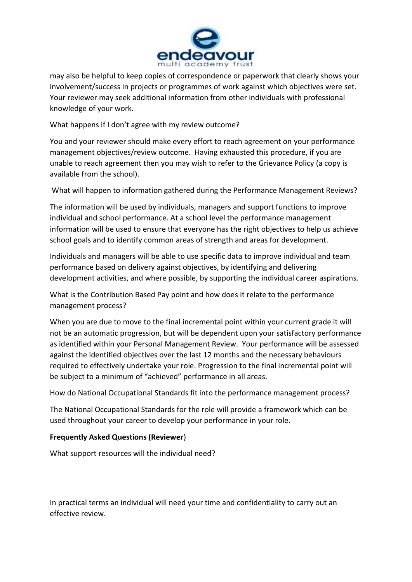

may also be helpful to keep copies of correspondence or paperwork that clearly shows your involvement/success in projects or programmes of work against which objectives were set. Your reviewer may seek additional information from other individuals with professional knowledge of your work.

What happens if I don't agree with my review outcome?

You and your reviewer should make every effort to reach agreement on your performance management objectives/review outcome. Having exhausted this procedure, if you are unable to reach agreement then you may wish to refer to the Grievance Policy (a copy is available from the school).

What will happen to information gathered during the Performance Management Reviews?

The information will be used by individuals, managers and support functions to improve individual and school performance. At a school level the performance management information will be used to ensure that everyone has the right objectives to help us achieve school goals and to identify common areas of strength and areas for development.

Individuals and managers will be able to use specific data to improve individual and team performance based on delivery against objectives, by identifying and delivering development activities, and where possible, by supporting the individual career aspirations.

What is the Contribution Based Pay point and how does it relate to the performance management process?

When you are due to move to the final incremental point within your current grade it will not be an automatic progression, but will be dependent upon your satisfactory performance as identified within your Personal Management Review. Your performance will be assessed against the identified objectives over the last 12 months and the necessary behaviours required to effectively undertake your role. Progression to the final incremental point will be subject to a minimum of "achieved" performance in all areas.

How do National Occupational Standards fit into the performance management process?

The National Occupational Standards for the role will provide a framework which can be used throughout your career to develop your performance in your role.

#### **Frequently Asked Questions (Reviewer**)

What support resources will the individual need?

In practical terms an individual will need your time and confidentiality to carry out an effective review.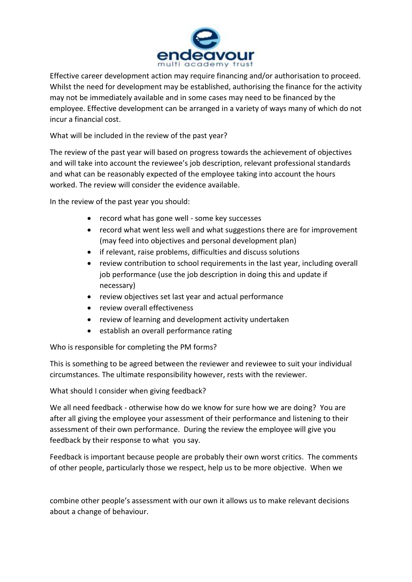

Effective career development action may require financing and/or authorisation to proceed. Whilst the need for development may be established, authorising the finance for the activity may not be immediately available and in some cases may need to be financed by the employee. Effective development can be arranged in a variety of ways many of which do not incur a financial cost.

What will be included in the review of the past year?

The review of the past year will based on progress towards the achievement of objectives and will take into account the reviewee's job description, relevant professional standards and what can be reasonably expected of the employee taking into account the hours worked. The review will consider the evidence available.

In the review of the past year you should:

- record what has gone well some key successes
- record what went less well and what suggestions there are for improvement (may feed into objectives and personal development plan)
- if relevant, raise problems, difficulties and discuss solutions
- review contribution to school requirements in the last year, including overall job performance (use the job description in doing this and update if necessary)
- review objectives set last year and actual performance
- review overall effectiveness
- review of learning and development activity undertaken
- establish an overall performance rating

Who is responsible for completing the PM forms?

This is something to be agreed between the reviewer and reviewee to suit your individual circumstances. The ultimate responsibility however, rests with the reviewer.

What should I consider when giving feedback?

We all need feedback - otherwise how do we know for sure how we are doing? You are after all giving the employee your assessment of their performance and listening to their assessment of their own performance. During the review the employee will give you feedback by their response to what you say.

Feedback is important because people are probably their own worst critics. The comments of other people, particularly those we respect, help us to be more objective. When we

combine other people's assessment with our own it allows us to make relevant decisions about a change of behaviour.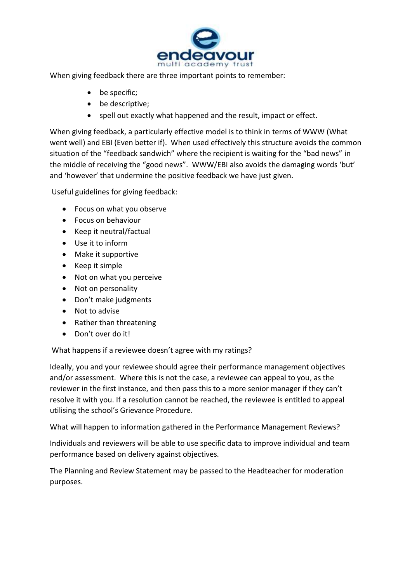

When giving feedback there are three important points to remember:

- be specific;
- be descriptive;
- spell out exactly what happened and the result, impact or effect.

When giving feedback, a particularly effective model is to think in terms of WWW (What went well) and EBI (Even better if). When used effectively this structure avoids the common situation of the "feedback sandwich" where the recipient is waiting for the "bad news" in the middle of receiving the "good news". WWW/EBI also avoids the damaging words 'but' and 'however' that undermine the positive feedback we have just given.

Useful guidelines for giving feedback:

- Focus on what you observe
- Focus on behaviour
- Keep it neutral/factual
- Use it to inform
- Make it supportive
- Keep it simple
- Not on what you perceive
- Not on personality
- Don't make judgments
- Not to advise
- Rather than threatening
- Don't over do it!

What happens if a reviewee doesn't agree with my ratings?

Ideally, you and your reviewee should agree their performance management objectives and/or assessment. Where this is not the case, a reviewee can appeal to you, as the reviewer in the first instance, and then pass this to a more senior manager if they can't resolve it with you. If a resolution cannot be reached, the reviewee is entitled to appeal utilising the school's Grievance Procedure.

What will happen to information gathered in the Performance Management Reviews?

Individuals and reviewers will be able to use specific data to improve individual and team performance based on delivery against objectives.

The Planning and Review Statement may be passed to the Headteacher for moderation purposes.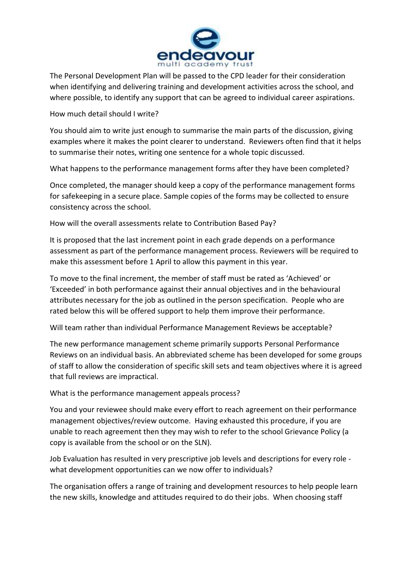

The Personal Development Plan will be passed to the CPD leader for their consideration when identifying and delivering training and development activities across the school, and where possible, to identify any support that can be agreed to individual career aspirations.

How much detail should I write?

You should aim to write just enough to summarise the main parts of the discussion, giving examples where it makes the point clearer to understand. Reviewers often find that it helps to summarise their notes, writing one sentence for a whole topic discussed.

What happens to the performance management forms after they have been completed?

Once completed, the manager should keep a copy of the performance management forms for safekeeping in a secure place. Sample copies of the forms may be collected to ensure consistency across the school.

How will the overall assessments relate to Contribution Based Pay?

It is proposed that the last increment point in each grade depends on a performance assessment as part of the performance management process. Reviewers will be required to make this assessment before 1 April to allow this payment in this year.

To move to the final increment, the member of staff must be rated as 'Achieved' or 'Exceeded' in both performance against their annual objectives and in the behavioural attributes necessary for the job as outlined in the person specification. People who are rated below this will be offered support to help them improve their performance.

Will team rather than individual Performance Management Reviews be acceptable?

The new performance management scheme primarily supports Personal Performance Reviews on an individual basis. An abbreviated scheme has been developed for some groups of staff to allow the consideration of specific skill sets and team objectives where it is agreed that full reviews are impractical.

What is the performance management appeals process?

You and your reviewee should make every effort to reach agreement on their performance management objectives/review outcome. Having exhausted this procedure, if you are unable to reach agreement then they may wish to refer to the school Grievance Policy (a copy is available from the school or on the SLN).

Job Evaluation has resulted in very prescriptive job levels and descriptions for every role what development opportunities can we now offer to individuals?

The organisation offers a range of training and development resources to help people learn the new skills, knowledge and attitudes required to do their jobs. When choosing staff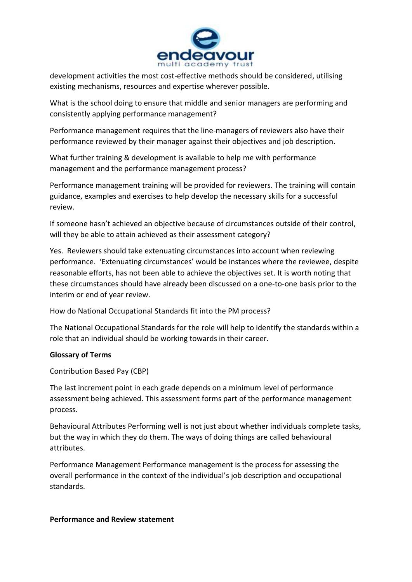

development activities the most cost-effective methods should be considered, utilising existing mechanisms, resources and expertise wherever possible.

What is the school doing to ensure that middle and senior managers are performing and consistently applying performance management?

Performance management requires that the line-managers of reviewers also have their performance reviewed by their manager against their objectives and job description.

What further training & development is available to help me with performance management and the performance management process?

Performance management training will be provided for reviewers. The training will contain guidance, examples and exercises to help develop the necessary skills for a successful review.

If someone hasn't achieved an objective because of circumstances outside of their control, will they be able to attain achieved as their assessment category?

Yes. Reviewers should take extenuating circumstances into account when reviewing performance. 'Extenuating circumstances' would be instances where the reviewee, despite reasonable efforts, has not been able to achieve the objectives set. It is worth noting that these circumstances should have already been discussed on a one-to-one basis prior to the interim or end of year review.

How do National Occupational Standards fit into the PM process?

The National Occupational Standards for the role will help to identify the standards within a role that an individual should be working towards in their career.

# **Glossary of Terms**

Contribution Based Pay (CBP)

The last increment point in each grade depends on a minimum level of performance assessment being achieved. This assessment forms part of the performance management process.

Behavioural Attributes Performing well is not just about whether individuals complete tasks, but the way in which they do them. The ways of doing things are called behavioural attributes.

Performance Management Performance management is the process for assessing the overall performance in the context of the individual's job description and occupational standards.

# **Performance and Review statement**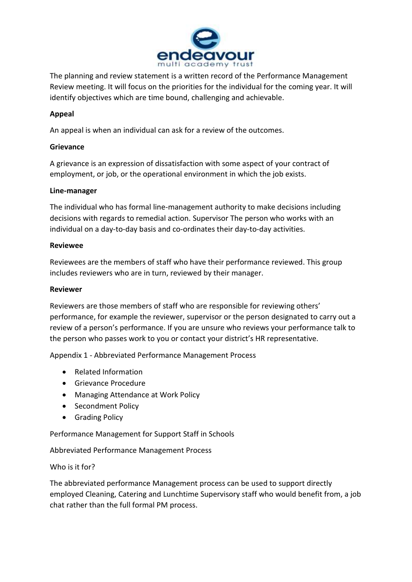

The planning and review statement is a written record of the Performance Management Review meeting. It will focus on the priorities for the individual for the coming year. It will identify objectives which are time bound, challenging and achievable.

# **Appeal**

An appeal is when an individual can ask for a review of the outcomes.

## **Grievance**

A grievance is an expression of dissatisfaction with some aspect of your contract of employment, or job, or the operational environment in which the job exists.

### **Line-manager**

The individual who has formal line-management authority to make decisions including decisions with regards to remedial action. Supervisor The person who works with an individual on a day-to-day basis and co-ordinates their day-to-day activities.

### **Reviewee**

Reviewees are the members of staff who have their performance reviewed. This group includes reviewers who are in turn, reviewed by their manager.

#### **Reviewer**

Reviewers are those members of staff who are responsible for reviewing others' performance, for example the reviewer, supervisor or the person designated to carry out a review of a person's performance. If you are unsure who reviews your performance talk to the person who passes work to you or contact your district's HR representative.

Appendix 1 - Abbreviated Performance Management Process

- Related Information
- **•** Grievance Procedure
- Managing Attendance at Work Policy
- Secondment Policy
- **•** Grading Policy

Performance Management for Support Staff in Schools

Abbreviated Performance Management Process

Who is it for?

The abbreviated performance Management process can be used to support directly employed Cleaning, Catering and Lunchtime Supervisory staff who would benefit from, a job chat rather than the full formal PM process.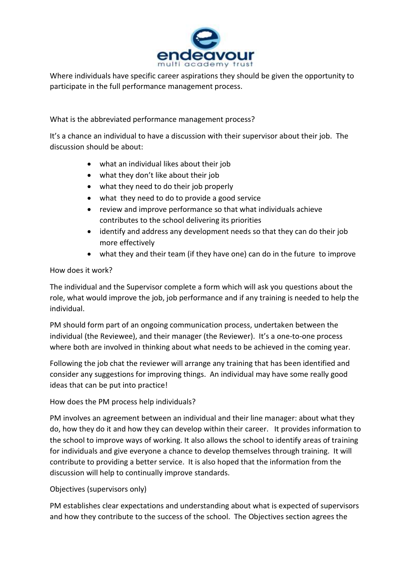

Where individuals have specific career aspirations they should be given the opportunity to participate in the full performance management process.

What is the abbreviated performance management process?

It's a chance an individual to have a discussion with their supervisor about their job. The discussion should be about:

- what an individual likes about their job
- what they don't like about their job
- what they need to do their job properly
- what they need to do to provide a good service
- review and improve performance so that what individuals achieve contributes to the school delivering its priorities
- identify and address any development needs so that they can do their job more effectively
- what they and their team (if they have one) can do in the future to improve

### How does it work?

The individual and the Supervisor complete a form which will ask you questions about the role, what would improve the job, job performance and if any training is needed to help the individual.

PM should form part of an ongoing communication process, undertaken between the individual (the Reviewee), and their manager (the Reviewer). It's a one-to-one process where both are involved in thinking about what needs to be achieved in the coming year.

Following the job chat the reviewer will arrange any training that has been identified and consider any suggestions for improving things. An individual may have some really good ideas that can be put into practice!

How does the PM process help individuals?

PM involves an agreement between an individual and their line manager: about what they do, how they do it and how they can develop within their career. It provides information to the school to improve ways of working. It also allows the school to identify areas of training for individuals and give everyone a chance to develop themselves through training. It will contribute to providing a better service. It is also hoped that the information from the discussion will help to continually improve standards.

# Objectives (supervisors only)

PM establishes clear expectations and understanding about what is expected of supervisors and how they contribute to the success of the school. The Objectives section agrees the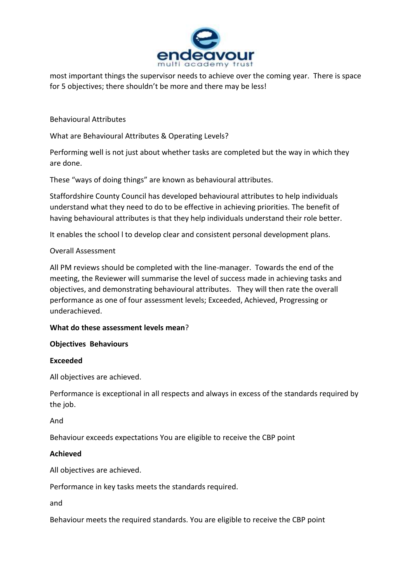

most important things the supervisor needs to achieve over the coming year. There is space for 5 objectives; there shouldn't be more and there may be less!

Behavioural Attributes

What are Behavioural Attributes & Operating Levels?

Performing well is not just about whether tasks are completed but the way in which they are done.

These "ways of doing things" are known as behavioural attributes.

Staffordshire County Council has developed behavioural attributes to help individuals understand what they need to do to be effective in achieving priorities. The benefit of having behavioural attributes is that they help individuals understand their role better.

It enables the school l to develop clear and consistent personal development plans.

#### Overall Assessment

All PM reviews should be completed with the line-manager. Towards the end of the meeting, the Reviewer will summarise the level of success made in achieving tasks and objectives, and demonstrating behavioural attributes. They will then rate the overall performance as one of four assessment levels; Exceeded, Achieved, Progressing or underachieved.

#### **What do these assessment levels mean**?

#### **Objectives Behaviours**

#### **Exceeded**

All objectives are achieved.

Performance is exceptional in all respects and always in excess of the standards required by the job.

And

Behaviour exceeds expectations You are eligible to receive the CBP point

#### **Achieved**

All objectives are achieved.

Performance in key tasks meets the standards required.

and

Behaviour meets the required standards. You are eligible to receive the CBP point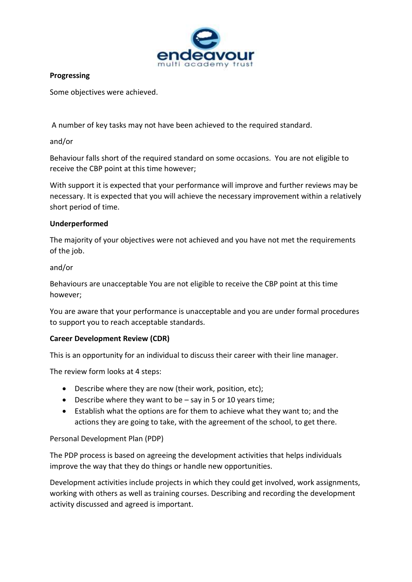

## **Progressing**

Some objectives were achieved.

A number of key tasks may not have been achieved to the required standard.

## and/or

Behaviour falls short of the required standard on some occasions. You are not eligible to receive the CBP point at this time however;

With support it is expected that your performance will improve and further reviews may be necessary. It is expected that you will achieve the necessary improvement within a relatively short period of time.

# **Underperformed**

The majority of your objectives were not achieved and you have not met the requirements of the job.

# and/or

Behaviours are unacceptable You are not eligible to receive the CBP point at this time however;

You are aware that your performance is unacceptable and you are under formal procedures to support you to reach acceptable standards.

# **Career Development Review (CDR)**

This is an opportunity for an individual to discuss their career with their line manager.

The review form looks at 4 steps:

- Describe where they are now (their work, position, etc);
- $\bullet$  Describe where they want to be  $-$  say in 5 or 10 years time;
- Establish what the options are for them to achieve what they want to; and the actions they are going to take, with the agreement of the school, to get there.

# Personal Development Plan (PDP)

The PDP process is based on agreeing the development activities that helps individuals improve the way that they do things or handle new opportunities.

Development activities include projects in which they could get involved, work assignments, working with others as well as training courses. Describing and recording the development activity discussed and agreed is important.